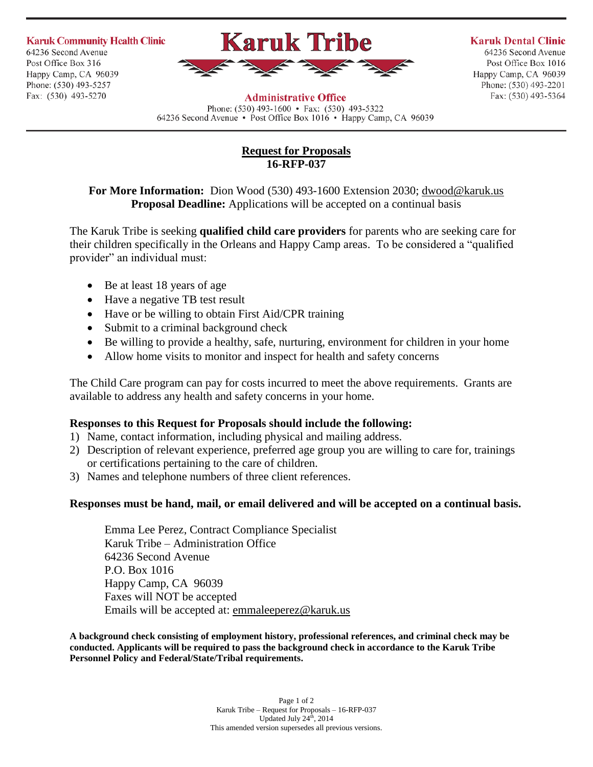**Karuk Community Health Clinic** 64236 Second Avenue Post Office Box 316 Happy Camp, CA 96039 Phone: (530) 493-5257 Fax: (530) 493-5270



**Karuk Dental Clinic** 

64236 Second Avenue Post Office Box 1016 Happy Camp, CA 96039 Phone: (530) 493-2201 Fax: (530) 493-5364

**Administrative Office** Phone:  $(530)$  493-1600 • Fax:  $(530)$  493-5322

64236 Second Avenue • Post Office Box 1016 • Happy Camp, CA 96039

## **Request for Proposals 16-RFP-037**

## **For More Information:** Dion Wood (530) 493-1600 Extension 2030; [dwood@karuk.us](mailto:dwood@karuk.us) **Proposal Deadline:** Applications will be accepted on a continual basis

The Karuk Tribe is seeking **qualified child care providers** for parents who are seeking care for their children specifically in the Orleans and Happy Camp areas. To be considered a "qualified provider" an individual must:

- Be at least 18 years of age
- Have a negative TB test result
- Have or be willing to obtain First Aid/CPR training
- Submit to a criminal background check
- Be willing to provide a healthy, safe, nurturing, environment for children in your home
- Allow home visits to monitor and inspect for health and safety concerns

The Child Care program can pay for costs incurred to meet the above requirements. Grants are available to address any health and safety concerns in your home.

## **Responses to this Request for Proposals should include the following:**

- 1) Name, contact information, including physical and mailing address.
- 2) Description of relevant experience, preferred age group you are willing to care for, trainings or certifications pertaining to the care of children.
- 3) Names and telephone numbers of three client references.

## **Responses must be hand, mail, or email delivered and will be accepted on a continual basis.**

Emma Lee Perez, Contract Compliance Specialist Karuk Tribe – Administration Office 64236 Second Avenue P.O. Box 1016 Happy Camp, CA 96039 Faxes will NOT be accepted Emails will be accepted at: [emmaleeperez@karuk.us](mailto:emmaleeperez@karuk.us)

**A background check consisting of employment history, professional references, and criminal check may be conducted. Applicants will be required to pass the background check in accordance to the Karuk Tribe Personnel Policy and Federal/State/Tribal requirements.**